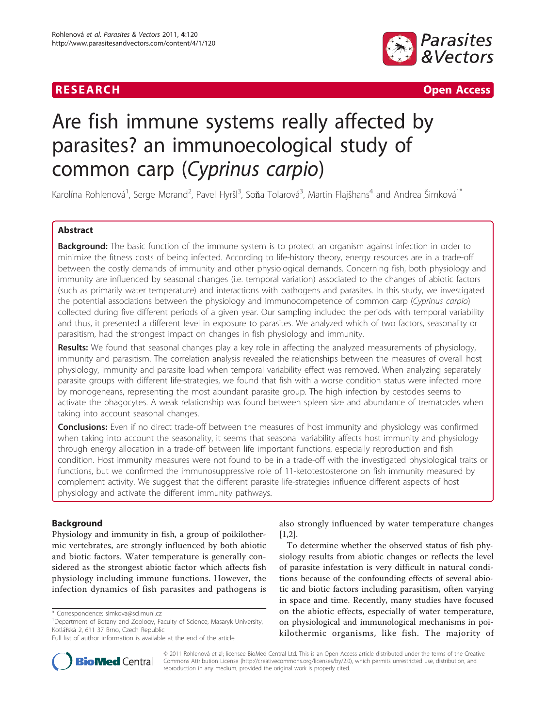

**RESEARCH CONTROL** CONTROL CONTROL CONTROL CONTROL CONTROL CONTROL CONTROL CONTROL CONTROL CONTROL CONTROL CONTROL CONTROL CONTROL CONTROL CONTROL CONTROL CONTROL CONTROL CONTROL CONTROL CONTROL CONTROL CONTROL CONTROL CON

# Are fish immune systems really affected by parasites? an immunoecological study of common carp (Cyprinus carpio)

Karolína Rohlenová<sup>1</sup>, Serge Morand<sup>2</sup>, Pavel Hyršl<sup>3</sup>, So**ň**a Tolarová<sup>3</sup>, Martin Flajšhans<sup>4</sup> and Andrea Šimková<sup>1\*</sup>

# Abstract

**Background:** The basic function of the immune system is to protect an organism against infection in order to minimize the fitness costs of being infected. According to life-history theory, energy resources are in a trade-off between the costly demands of immunity and other physiological demands. Concerning fish, both physiology and immunity are influenced by seasonal changes (i.e. temporal variation) associated to the changes of abiotic factors (such as primarily water temperature) and interactions with pathogens and parasites. In this study, we investigated the potential associations between the physiology and immunocompetence of common carp (Cyprinus carpio) collected during five different periods of a given year. Our sampling included the periods with temporal variability and thus, it presented a different level in exposure to parasites. We analyzed which of two factors, seasonality or parasitism, had the strongest impact on changes in fish physiology and immunity.

Results: We found that seasonal changes play a key role in affecting the analyzed measurements of physiology, immunity and parasitism. The correlation analysis revealed the relationships between the measures of overall host physiology, immunity and parasite load when temporal variability effect was removed. When analyzing separately parasite groups with different life-strategies, we found that fish with a worse condition status were infected more by monogeneans, representing the most abundant parasite group. The high infection by cestodes seems to activate the phagocytes. A weak relationship was found between spleen size and abundance of trematodes when taking into account seasonal changes.

**Conclusions:** Even if no direct trade-off between the measures of host immunity and physiology was confirmed when taking into account the seasonality, it seems that seasonal variability affects host immunity and physiology through energy allocation in a trade-off between life important functions, especially reproduction and fish condition. Host immunity measures were not found to be in a trade-off with the investigated physiological traits or functions, but we confirmed the immunosuppressive role of 11-ketotestosterone on fish immunity measured by complement activity. We suggest that the different parasite life-strategies influence different aspects of host physiology and activate the different immunity pathways.

# Background

Physiology and immunity in fish, a group of poikilothermic vertebrates, are strongly influenced by both abiotic and biotic factors. Water temperature is generally considered as the strongest abiotic factor which affects fish physiology including immune functions. However, the infection dynamics of fish parasites and pathogens is

also strongly influenced by water temperature changes  $[1,2]$  $[1,2]$ .

To determine whether the observed status of fish physiology results from abiotic changes or reflects the level of parasite infestation is very difficult in natural conditions because of the confounding effects of several abiotic and biotic factors including parasitism, often varying in space and time. Recently, many studies have focused on the abiotic effects, especially of water temperature, on physiological and immunological mechanisms in poikilothermic organisms, like fish. The majority of



© 2011 Rohlenová et al; licensee BioMed Central Ltd. This is an Open Access article distributed under the terms of the Creative Commons Attribution License [\(http://creativecommons.org/licenses/by/2.0](http://creativecommons.org/licenses/by/2.0)), which permits unrestricted use, distribution, and reproduction in any medium, provided the original work is properly cited.

<sup>\*</sup> Correspondence: [simkova@sci.muni.cz](mailto:simkova@sci.muni.cz)

<sup>&</sup>lt;sup>1</sup>Department of Botany and Zoology, Faculty of Science, Masaryk University, Kotlářská 2, 611 37 Brno, Czech Republic

Full list of author information is available at the end of the article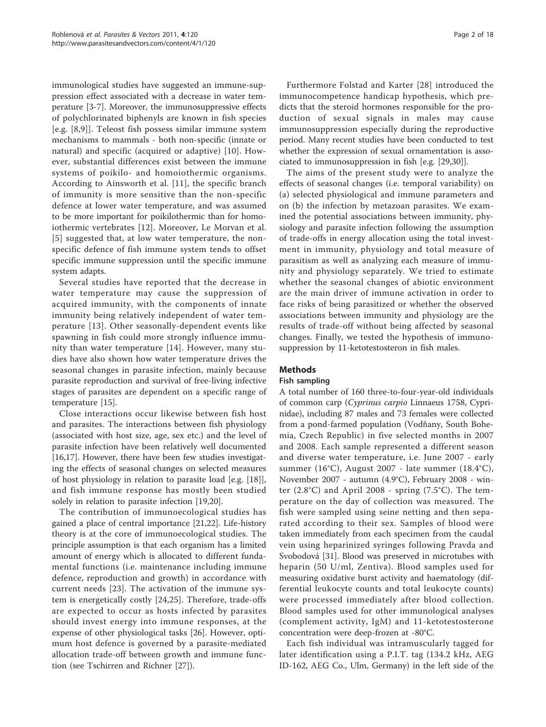immunological studies have suggested an immune-suppression effect associated with a decrease in water temperature [\[3](#page-15-0)-[7\]](#page-15-0). Moreover, the immunosuppressive effects of polychlorinated biphenyls are known in fish species [e.g. [[8,9\]](#page-15-0)]. Teleost fish possess similar immune system mechanisms to mammals - both non-specific (innate or natural) and specific (acquired or adaptive) [[10\]](#page-15-0). However, substantial differences exist between the immune systems of poikilo- and homoiothermic organisms. According to Ainsworth et al. [[11](#page-15-0)], the specific branch of immunity is more sensitive than the non-specific defence at lower water temperature, and was assumed to be more important for poikilothermic than for homoiothermic vertebrates [[12\]](#page-15-0). Moreover, Le Morvan et al. [[5](#page-15-0)] suggested that, at low water temperature, the nonspecific defence of fish immune system tends to offset specific immune suppression until the specific immune system adapts.

Several studies have reported that the decrease in water temperature may cause the suppression of acquired immunity, with the components of innate immunity being relatively independent of water temperature [[13](#page-15-0)]. Other seasonally-dependent events like spawning in fish could more strongly influence immunity than water temperature [[14\]](#page-15-0). However, many studies have also shown how water temperature drives the seasonal changes in parasite infection, mainly because parasite reproduction and survival of free-living infective stages of parasites are dependent on a specific range of temperature [[15\]](#page-15-0).

Close interactions occur likewise between fish host and parasites. The interactions between fish physiology (associated with host size, age, sex etc.) and the level of parasite infection have been relatively well documented [[16,17\]](#page-15-0). However, there have been few studies investigating the effects of seasonal changes on selected measures of host physiology in relation to parasite load [e.g. [\[18](#page-15-0)]], and fish immune response has mostly been studied solely in relation to parasite infection [\[19](#page-15-0)[,20](#page-16-0)].

The contribution of immunoecological studies has gained a place of central importance [[21,22](#page-16-0)]. Life-history theory is at the core of immunoecological studies. The principle assumption is that each organism has a limited amount of energy which is allocated to different fundamental functions (i.e. maintenance including immune defence, reproduction and growth) in accordance with current needs [\[23\]](#page-16-0). The activation of the immune system is energetically costly [\[24](#page-16-0),[25\]](#page-16-0). Therefore, trade-offs are expected to occur as hosts infected by parasites should invest energy into immune responses, at the expense of other physiological tasks [[26\]](#page-16-0). However, optimum host defence is governed by a parasite-mediated allocation trade-off between growth and immune function (see Tschirren and Richner [\[27\]](#page-16-0)).

Furthermore Folstad and Karter [[28](#page-16-0)] introduced the immunocompetence handicap hypothesis, which predicts that the steroid hormones responsible for the production of sexual signals in males may cause immunosuppression especially during the reproductive period. Many recent studies have been conducted to test whether the expression of sexual ornamentation is associated to immunosuppression in fish [e.g. [\[29,30\]](#page-16-0)].

The aims of the present study were to analyze the effects of seasonal changes (i.e. temporal variability) on (a) selected physiological and immune parameters and on (b) the infection by metazoan parasites. We examined the potential associations between immunity, physiology and parasite infection following the assumption of trade-offs in energy allocation using the total investment in immunity, physiology and total measure of parasitism as well as analyzing each measure of immunity and physiology separately. We tried to estimate whether the seasonal changes of abiotic environment are the main driver of immune activation in order to face risks of being parasitized or whether the observed associations between immunity and physiology are the results of trade-off without being affected by seasonal changes. Finally, we tested the hypothesis of immunosuppression by 11-ketotestosteron in fish males.

# Methods

# Fish sampling

A total number of 160 three-to-four-year-old individuals of common carp (Cyprinus carpio Linnaeus 1758, Cyprinidae), including 87 males and 73 females were collected from a pond-farmed population (Vodňany, South Bohemia, Czech Republic) in five selected months in 2007 and 2008. Each sample represented a different season and diverse water temperature, i.e. June 2007 - early summer (16°C), August 2007 - late summer (18.4°C), November 2007 - autumn (4.9°C), February 2008 - winter (2.8°C) and April 2008 - spring (7.5°C). The temperature on the day of collection was measured. The fish were sampled using seine netting and then separated according to their sex. Samples of blood were taken immediately from each specimen from the caudal vein using heparinized syringes following Pravda and Svobodová [[31\]](#page-16-0). Blood was preserved in microtubes with heparin (50 U/ml, Zentiva). Blood samples used for measuring oxidative burst activity and haematology (differential leukocyte counts and total leukocyte counts) were processed immediately after blood collection. Blood samples used for other immunological analyses (complement activity, IgM) and 11-ketotestosterone concentration were deep-frozen at -80°C.

Each fish individual was intramuscularly tagged for later identification using a P.I.T. tag (134.2 kHz, AEG ID-162, AEG Co., Ulm, Germany) in the left side of the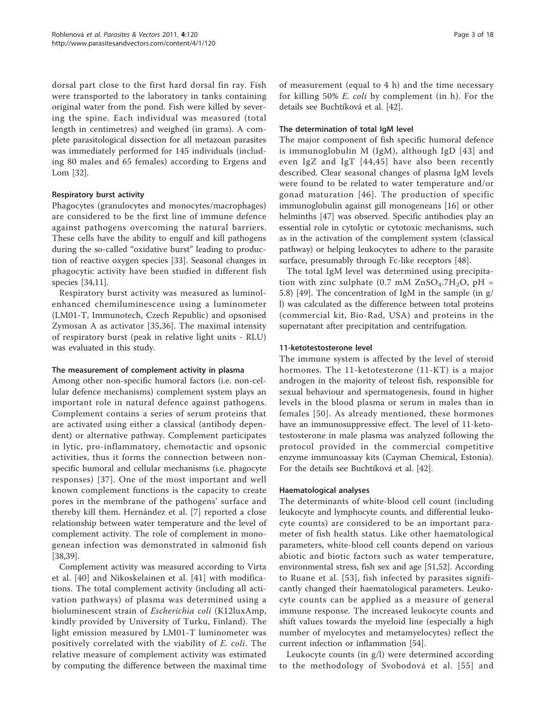dorsal part close to the first hard dorsal fin ray. Fish were transported to the laboratory in tanks containing original water from the pond. Fish were killed by severing the spine. Each individual was measured (total length in centimetres) and weighed (in grams). A complete parasitological dissection for all metazoan parasites was immediately performed for 145 individuals (including 80 males and 65 females) according to Ergens and Lom [[32\]](#page-16-0).

# Respiratory burst activity

Phagocytes (granulocytes and monocytes/macrophages) are considered to be the first line of immune defence against pathogens overcoming the natural barriers. These cells have the ability to engulf and kill pathogens during the so-called "oxidative burst" leading to production of reactive oxygen species [[33\]](#page-16-0). Seasonal changes in phagocytic activity have been studied in different fish species [\[34](#page-16-0)[,11](#page-15-0)].

Respiratory burst activity was measured as luminolenhanced chemiluminescence using a luminometer (LM01-T, Immunotech, Czech Republic) and opsonised Zymosan A as activator [[35,36](#page-16-0)]. The maximal intensity of respiratory burst (peak in relative light units - RLU) was evaluated in this study.

#### The measurement of complement activity in plasma

Among other non-specific humoral factors (i.e. non-cellular defence mechanisms) complement system plays an important role in natural defence against pathogens. Complement contains a series of serum proteins that are activated using either a classical (antibody dependent) or alternative pathway. Complement participates in lytic, pro-inflammatory, chemotactic and opsonic activities, thus it forms the connection between nonspecific humoral and cellular mechanisms (i.e. phagocyte responses) [[37](#page-16-0)]. One of the most important and well known complement functions is the capacity to create pores in the membrane of the pathogens' surface and thereby kill them. Hernández et al. [\[7](#page-15-0)] reported a close relationship between water temperature and the level of complement activity. The role of complement in monogenean infection was demonstrated in salmonid fish [[38,39\]](#page-16-0).

Complement activity was measured according to Virta et al. [\[40\]](#page-16-0) and Nikoskelainen et al. [[41\]](#page-16-0) with modifications. The total complement activity (including all activation pathways) of plasma was determined using a bioluminescent strain of Escherichia coli (K12luxAmp, kindly provided by University of Turku, Finland). The light emission measured by LM01-T luminometer was positively correlated with the viability of E. coli. The relative measure of complement activity was estimated by computing the difference between the maximal time

of measurement (equal to 4 h) and the time necessary for killing 50% E. coli by complement (in h). For the details see Buchtíková et al. [\[42](#page-16-0)].

#### The determination of total IgM level

The major component of fish specific humoral defence is immunoglobulin M (IgM), although IgD [[43](#page-16-0)] and even IgZ and IgT [[44](#page-16-0),[45](#page-16-0)] have also been recently described. Clear seasonal changes of plasma IgM levels were found to be related to water temperature and/or gonad maturation [[46](#page-16-0)]. The production of specific immunoglobulin against gill monogeneans [[16\]](#page-15-0) or other helminths [\[47\]](#page-16-0) was observed. Specific antibodies play an essential role in cytolytic or cytotoxic mechanisms, such as in the activation of the complement system (classical pathway) or helping leukocytes to adhere to the parasite surface, presumably through Fc-like receptors [\[48\]](#page-16-0).

The total IgM level was determined using precipitation with zinc sulphate (0.7 mM  $ZnSO<sub>4</sub>$ .7H<sub>2</sub>O, pH = 5.8) [\[49](#page-16-0)]. The concentration of IgM in the sample (in g/ l) was calculated as the difference between total proteins (commercial kit, Bio-Rad, USA) and proteins in the supernatant after precipitation and centrifugation.

# 11-ketotestosterone level

The immune system is affected by the level of steroid hormones. The 11-ketotesterone (11-KT) is a major androgen in the majority of teleost fish, responsible for sexual behaviour and spermatogenesis, found in higher levels in the blood plasma or serum in males than in females [[50](#page-16-0)]. As already mentioned, these hormones have an immunosuppressive effect. The level of 11-ketotestosterone in male plasma was analyzed following the protocol provided in the commercial competitive enzyme immunoassay kits (Cayman Chemical, Estonia). For the details see Buchtíková et al. [[42](#page-16-0)].

# Haematological analyses

The determinants of white-blood cell count (including leukocyte and lymphocyte counts, and differential leukocyte counts) are considered to be an important parameter of fish health status. Like other haematological parameters, white-blood cell counts depend on various abiotic and biotic factors such as water temperature, environmental stress, fish sex and age [\[51,52\]](#page-16-0). According to Ruane et al. [\[53\]](#page-16-0), fish infected by parasites significantly changed their haematological parameters. Leukocyte counts can be applied as a measure of general immune response. The increased leukocyte counts and shift values towards the myeloid line (especially a high number of myelocytes and metamyelocytes) reflect the current infection or inflammation [[54](#page-16-0)].

Leukocyte counts (in g/l) were determined according to the methodology of Svobodová et al. [[55\]](#page-16-0) and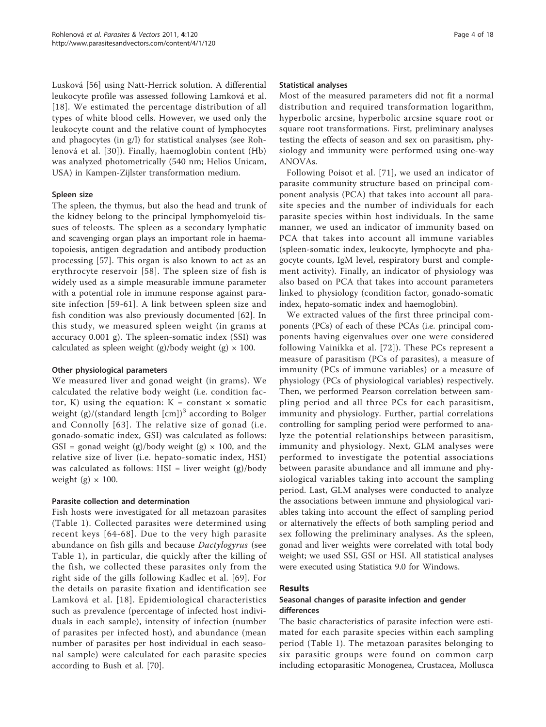Lusková [\[56](#page-16-0)] using Natt-Herrick solution. A differential leukocyte profile was assessed following Lamková et al. [[18\]](#page-15-0). We estimated the percentage distribution of all types of white blood cells. However, we used only the leukocyte count and the relative count of lymphocytes and phagocytes (in g/l) for statistical analyses (see Rohlenová et al. [[30](#page-16-0)]). Finally, haemoglobin content (Hb) was analyzed photometrically (540 nm; Helios Unicam, USA) in Kampen-Zijlster transformation medium.

# Spleen size

The spleen, the thymus, but also the head and trunk of the kidney belong to the principal lymphomyeloid tissues of teleosts. The spleen as a secondary lymphatic and scavenging organ plays an important role in haematopoiesis, antigen degradation and antibody production processing [\[57\]](#page-16-0). This organ is also known to act as an erythrocyte reservoir [[58](#page-16-0)]. The spleen size of fish is widely used as a simple measurable immune parameter with a potential role in immune response against parasite infection [[59-61](#page-16-0)]. A link between spleen size and fish condition was also previously documented [[62\]](#page-16-0). In this study, we measured spleen weight (in grams at accuracy 0.001 g). The spleen-somatic index (SSI) was calculated as spleen weight (g)/body weight (g)  $\times$  100.

#### Other physiological parameters

We measured liver and gonad weight (in grams). We calculated the relative body weight (i.e. condition factor, K) using the equation:  $K = constant \times somatic$ weight  $(g)/(standard length [cm])^3$  according to Bolger and Connolly [[63\]](#page-16-0). The relative size of gonad (i.e. gonado-somatic index, GSI) was calculated as follows:  $GSI =$  gonad weight (g)/body weight (g)  $\times$  100, and the relative size of liver (i.e. hepato-somatic index, HSI) was calculated as follows:  $HSI =$  liver weight (g)/body weight (g)  $\times$  100.

#### Parasite collection and determination

Fish hosts were investigated for all metazoan parasites (Table [1\)](#page-4-0). Collected parasites were determined using recent keys [[64-68\]](#page-16-0). Due to the very high parasite abundance on fish gills and because Dactylogyrus (see Table [1\)](#page-4-0), in particular, die quickly after the killing of the fish, we collected these parasites only from the right side of the gills following Kadlec et al. [\[69\]](#page-16-0). For the details on parasite fixation and identification see Lamková et al. [[18](#page-15-0)]. Epidemiological characteristics such as prevalence (percentage of infected host individuals in each sample), intensity of infection (number of parasites per infected host), and abundance (mean number of parasites per host individual in each seasonal sample) were calculated for each parasite species according to Bush et al. [[70\]](#page-16-0).

#### Statistical analyses

Most of the measured parameters did not fit a normal distribution and required transformation logarithm, hyperbolic arcsine, hyperbolic arcsine square root or square root transformations. First, preliminary analyses testing the effects of season and sex on parasitism, physiology and immunity were performed using one-way ANOVAs.

Following Poisot et al. [[71\]](#page-16-0), we used an indicator of parasite community structure based on principal component analysis (PCA) that takes into account all parasite species and the number of individuals for each parasite species within host individuals. In the same manner, we used an indicator of immunity based on PCA that takes into account all immune variables (spleen-somatic index, leukocyte, lymphocyte and phagocyte counts, IgM level, respiratory burst and complement activity). Finally, an indicator of physiology was also based on PCA that takes into account parameters linked to physiology (condition factor, gonado-somatic index, hepato-somatic index and haemoglobin).

We extracted values of the first three principal components (PCs) of each of these PCAs (i.e. principal components having eigenvalues over one were considered following Vainikka et al. [[72](#page-16-0)]). These PCs represent a measure of parasitism (PCs of parasites), a measure of immunity (PCs of immune variables) or a measure of physiology (PCs of physiological variables) respectively. Then, we performed Pearson correlation between sampling period and all three PCs for each parasitism, immunity and physiology. Further, partial correlations controlling for sampling period were performed to analyze the potential relationships between parasitism, immunity and physiology. Next, GLM analyses were performed to investigate the potential associations between parasite abundance and all immune and physiological variables taking into account the sampling period. Last, GLM analyses were conducted to analyze the associations between immune and physiological variables taking into account the effect of sampling period or alternatively the effects of both sampling period and sex following the preliminary analyses. As the spleen, gonad and liver weights were correlated with total body weight; we used SSI, GSI or HSI. All statistical analyses were executed using Statistica 9.0 for Windows.

#### Results

# Seasonal changes of parasite infection and gender differences

The basic characteristics of parasite infection were estimated for each parasite species within each sampling period (Table [1](#page-4-0)). The metazoan parasites belonging to six parasitic groups were found on common carp including ectoparasitic Monogenea, Crustacea, Mollusca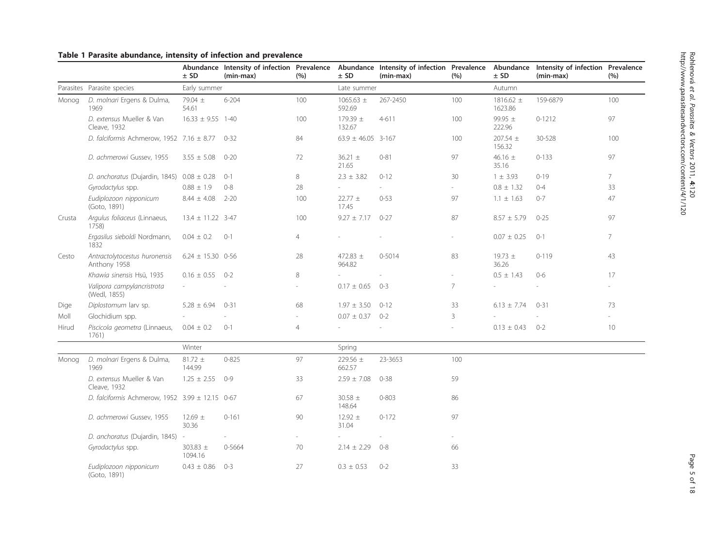|        |                                                 | $±$ SD                  | $(min-max)$ | (%)            | $±$ SD                   | $(min-max)$              | (%)            | $±$ SD                   | Abundance Intensity of infection Prevalence Abundance Intensity of infection Prevalence Abundance Intensity of infection Prevalence<br>$(min-max)$ | (%)                      |
|--------|-------------------------------------------------|-------------------------|-------------|----------------|--------------------------|--------------------------|----------------|--------------------------|----------------------------------------------------------------------------------------------------------------------------------------------------|--------------------------|
|        | Parasites Parasite species                      | Early summer            |             |                | Late summer              |                          |                | Autumn                   |                                                                                                                                                    |                          |
| Monog  | D. molnari Ergens & Dulma,<br>1969              | 79.04 ±<br>54.61        | $6 - 204$   | 100            | 1065.63 $\pm$<br>592.69  | 267-2450                 | 100            | 1816.62 $\pm$<br>1623.86 | 159-6879                                                                                                                                           | 100                      |
|        | D. extensus Mueller & Van<br>Cleave, 1932       | $16.33 \pm 9.55$ 1-40   |             | 100            | 179.39 $\pm$<br>132.67   | $4 - 611$                | 100            | 99.95 ±<br>222.96        | $0 - 1212$                                                                                                                                         | 97                       |
|        | D. falciformis Achmerow, 1952 7.16 $\pm$ 8.77   |                         | $0 - 32$    | 84             | $63.9 \pm 46.05$ 3-167   |                          | 100            | 207.54 $\pm$<br>156.32   | 30-528                                                                                                                                             | 100                      |
|        | D. achmerowi Gussev, 1955                       | $3.55 \pm 5.08$         | $0 - 20$    | 72             | $36.21 \pm$<br>21.65     | $0 - 81$                 | 97             | 46.16 $\pm$<br>35.16     | $0 - 133$                                                                                                                                          | 97                       |
|        | D. anchoratus (Dujardin, 1845) $0.08 \pm 0.28$  |                         | $O-1$       | 8              | $2.3 \pm 3.82$           | $0 - 12$                 | 30             | $1 \pm 3.93$             | $0 - 19$                                                                                                                                           | $7^{\circ}$              |
|        | Gyrodactylus spp.                               | $0.88 \pm 1.9$          | $0-8$       | 28             | $\overline{\phantom{a}}$ | $\sim$                   | $\sim$         | $0.8 \pm 1.32$           | $0 - 4$                                                                                                                                            | 33                       |
|        | Eudiplozoon nipponicum<br>(Goto, 1891)          | $8.44 \pm 4.08$ 2-20    |             | 100            | $22.77 \pm$<br>17.45     | $0 - 53$                 | 97             | $1.1 \pm 1.63$           | $0 - 7$                                                                                                                                            | 47                       |
| Crusta | Argulus foliaceus (Linnaeus,<br>1758)           | $13.4 \pm 11.22$ 3-47   |             | 100            | $9.27 \pm 7.17$          | $0 - 27$                 | 87             | $8.57 \pm 5.79$          | $0 - 25$                                                                                                                                           | 97                       |
|        | Ergasilus sieboldi Nordmann,<br>1832            | $0.04 \pm 0.2$          | $O-1$       | $\overline{4}$ |                          |                          |                | $0.07 \pm 0.25$          | $0-1$                                                                                                                                              | $7^{\circ}$              |
| Cesto  | Antractolytocestus huronensis<br>Anthony 1958   | $6.24 \pm 15.30$ 0-56   |             | 28             | 472.83 $\pm$<br>964.82   | $0 - 5014$               | 83             | 19.73 $\pm$<br>36.26     | $0 - 119$                                                                                                                                          | 43                       |
|        | Khawia sinensis Hsü, 1935                       | $0.16 \pm 0.55$ 0-2     |             | 8              |                          | $\overline{\phantom{a}}$ |                | $0.5 \pm 1.43$           | $0-6$                                                                                                                                              | 17                       |
|        | Valipora campylancristrota<br>(Wedl, 1855)      |                         |             |                | $0.17 \pm 0.65$          | $O-3$                    | 7              |                          |                                                                                                                                                    |                          |
| Dige   | Diplostomum larv sp.                            | $5.28 \pm 6.94$         | $0 - 31$    | 68             | $1.97 \pm 3.50$          | $0 - 12$                 | 33             | $6.13 \pm 7.74$          | $0 - 31$                                                                                                                                           | 73                       |
| Moll   | Glochidium spp.                                 |                         |             |                | $0.07 \pm 0.37$          | $0 - 2$                  | $\overline{3}$ |                          | $\sim$                                                                                                                                             | $\overline{\phantom{a}}$ |
| Hirud  | Piscicola geometra (Linnaeus,<br>1761)          | $0.04 \pm 0.2$          | $O-1$       | $\overline{4}$ |                          | $\overline{\phantom{a}}$ | $\sim$         | $0.13 \pm 0.43$          | $O-2$                                                                                                                                              | 10 <sup>°</sup>          |
|        |                                                 | Winter                  |             |                | Spring                   |                          |                |                          |                                                                                                                                                    |                          |
| Monog  | D. molnari Ergens & Dulma,<br>1969              | $81.72 \pm$<br>144.99   | $0 - 825$   | 97             | 229.56 $\pm$<br>662.57   | 23-3653                  | 100            |                          |                                                                                                                                                    |                          |
|        | D. extensus Mueller & Van<br>Cleave, 1932       | $1.25 \pm 2.55$         | $0 - 9$     | 33             | $2.59 \pm 7.08$          | $0 - 38$                 | 59             |                          |                                                                                                                                                    |                          |
|        | D. falciformis Achmerow, 1952 3.99 ± 12.15 0-67 |                         |             | 67             | 30.58 $\pm$<br>148.64    | $0 - 803$                | 86             |                          |                                                                                                                                                    |                          |
|        | D. achmerowi Gussev, 1955                       | $12.69 \pm$<br>30.36    | $0 - 161$   | 90             | $12.92 \pm$<br>31.04     | $0 - 172$                | 97             |                          |                                                                                                                                                    |                          |
|        | D. anchoratus (Dujardin, 1845) -                |                         |             |                |                          |                          |                |                          |                                                                                                                                                    |                          |
|        | Gyrodactylus spp.                               | 303.83 $\pm$<br>1094.16 | 0-5664      | 70             | $2.14 \pm 2.29$          | $O - 8$                  | 66             |                          |                                                                                                                                                    |                          |
|        | Eudiplozoon nipponicum<br>(Goto, 1891)          | $0.43 \pm 0.86$         | $O-3$       | 27             | $0.3 \pm 0.53$           | $0 - 2$                  | 33             |                          |                                                                                                                                                    |                          |

# <span id="page-4-0"></span>Table <sup>1</sup> Parasite abundance, intensity of infection and prevalence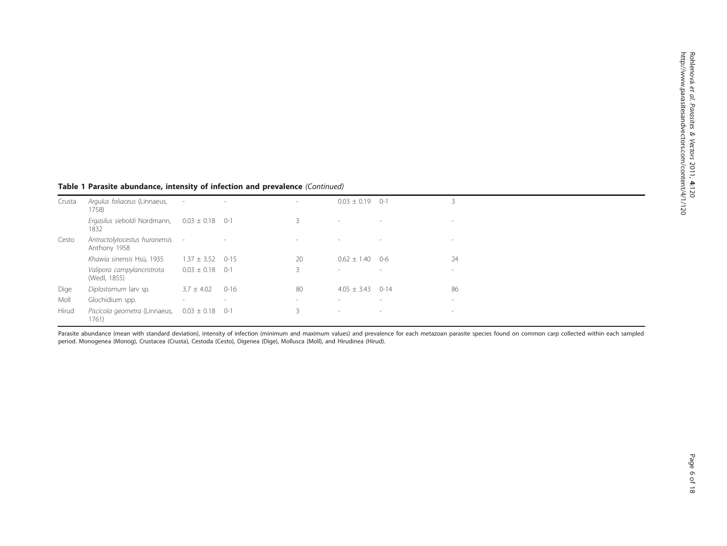# Table <sup>1</sup> Parasite abundance, intensity of infection and prevalence (Continued)

| Crusta | Argulus foliaceus (Linnaeus,<br>1758)         | $\overline{\phantom{a}}$ | $\overline{\phantom{a}}$ | $\overline{\phantom{a}}$ | $0.03 \pm 0.19$          | $() - 1$                 |                          |
|--------|-----------------------------------------------|--------------------------|--------------------------|--------------------------|--------------------------|--------------------------|--------------------------|
|        | Ergasilus sieboldi Nordmann,<br>1832          | $0.03 \pm 0.18$          | $O-1$                    | 3                        | $\overline{\phantom{a}}$ | $\overline{\phantom{a}}$ | $\overline{\phantom{a}}$ |
| Cesto  | Antractolytocestus huronensis<br>Anthony 1958 | $\overline{\phantom{a}}$ | $\overline{\phantom{a}}$ | $\overline{\phantom{a}}$ |                          |                          | $\overline{\phantom{a}}$ |
|        | Khawia sinensis Hsü, 1935                     | $1.37 \pm 3.52$          | $0 - 15$                 | 20                       | $0.62 \pm 1.40$          | 0-6                      | 24                       |
|        | Valipora campylancristrota<br>(Wedl, 1855)    | $0.03 \pm 0.18$          | $O-1$                    | 3                        | $\sim$                   | $\overline{\phantom{a}}$ | $\overline{\phantom{a}}$ |
| Dige   | Diplostomum lary sp.                          | $3.7 \pm 4.02$           | $0 - 16$                 | 80                       | $4.05 \pm 3.43$          | $0 - 14$                 | 86                       |
| Moll   | Glochidium spp.                               | $\sim$                   | $\sim$                   | $\overline{\phantom{a}}$ |                          | $\sim$                   | $\sim$                   |
| Hirud  | Piscicola geometra (Linnaeus,<br>1761)        | $0.03 \pm 0.18$          | 0-1                      | 3                        | $\overline{\phantom{a}}$ | $\overline{\phantom{a}}$ | $\overline{\phantom{a}}$ |

Parasite abundance (mean with standard deviation), intensity of infection (minimum and maximum values) and prevalence for each metazoan parasite species found on common carp collected within each sampled period. Monogenea (Monog), Crustacea (Crusta), Cestoda (Cesto), Digenea (Dige), Mollusca (Moll), and Hirudinea (Hirud).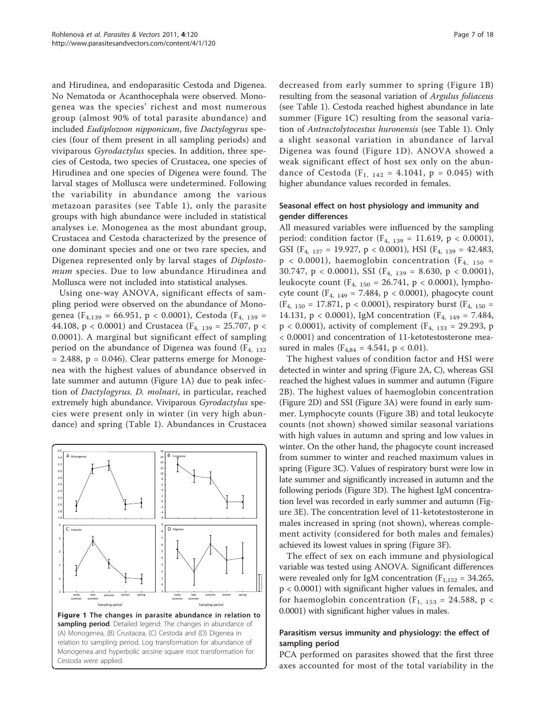<span id="page-6-0"></span>and Hirudinea, and endoparasitic Cestoda and Digenea. No Nematoda or Acanthocephala were observed. Monogenea was the species' richest and most numerous group (almost 90% of total parasite abundance) and included Eudiplozoon nipponicum, five Dactylogyrus species (four of them present in all sampling periods) and viviparous Gyrodactylus species. In addition, three species of Cestoda, two species of Crustacea, one species of Hirudinea and one species of Digenea were found. The larval stages of Mollusca were undetermined. Following the variability in abundance among the various metazoan parasites (see Table [1\)](#page-4-0), only the parasite groups with high abundance were included in statistical analyses i.e. Monogenea as the most abundant group, Crustacea and Cestoda characterized by the presence of one dominant species and one or two rare species, and Digenea represented only by larval stages of Diplostomum species. Due to low abundance Hirudinea and Mollusca were not included into statistical analyses.

Using one-way ANOVA, significant effects of sampling period were observed on the abundance of Monogenea (F<sub>4,139</sub> = 66.951, p < 0.0001), Cestoda (F<sub>4, 139</sub> = 44.108, p < 0.0001) and Crustacea ( $F_{4, 139} = 25.707$ , p < 0.0001). A marginal but significant effect of sampling period on the abundance of Digenea was found  $(F_{4, 132})$  $= 2.488$ ,  $p = 0.046$ ). Clear patterns emerge for Monogenea with the highest values of abundance observed in late summer and autumn (Figure 1A) due to peak infection of Dactylogyrus. D. molnari, in particular, reached extremely high abundance. Viviparous Gyrodactylus species were present only in winter (in very high abundance) and spring (Table [1\)](#page-4-0). Abundances in Crustacea



decreased from early summer to spring (Figure 1B) resulting from the seasonal variation of Argulus foliaceus (see Table [1\)](#page-4-0). Cestoda reached highest abundance in late summer (Figure 1C) resulting from the seasonal variation of Antractolytocestus huronensis (see Table [1\)](#page-4-0). Only a slight seasonal variation in abundance of larval Digenea was found (Figure 1D). ANOVA showed a weak significant effect of host sex only on the abundance of Cestoda ( $F_{1, 142} = 4.1041$ ,  $p = 0.045$ ) with higher abundance values recorded in females.

# Seasonal effect on host physiology and immunity and gender differences

All measured variables were influenced by the sampling period: condition factor  $(F_{4, 139} = 11.619, p < 0.0001)$ , GSI ( $F_{4, 137} = 19.927$ ,  $p < 0.0001$ ), HSI ( $F_{4, 139} = 42.483$ ,  $p < 0.0001$ ), haemoglobin concentration ( $F_{4, 150}$  = 30.747, p < 0.0001), SSI ( $F_{4, 139} = 8.630$ , p < 0.0001), leukocyte count (F<sub>4, 150</sub> = 26.741, p < 0.0001), lymphocyte count ( $F_{4, 149} = 7.484$ ,  $p < 0.0001$ ), phagocyte count  $(F_{4, 150} = 17.871, p < 0.0001)$ , respiratory burst  $(F_{4, 150} =$ 14.131, p < 0.0001), IgM concentration ( $F_{4, 149} = 7.484$ ,  $p < 0.0001$ ), activity of complement ( $F_{4, 133} = 29.293$ , p < 0.0001) and concentration of 11-ketotestosterone measured in males ( $F_{4,84} = 4.541$ ,  $p < 0.01$ ).

The highest values of condition factor and HSI were detected in winter and spring (Figure [2A, C](#page-7-0)), whereas GSI reached the highest values in summer and autumn (Figure [2B\)](#page-7-0). The highest values of haemoglobin concentration (Figure [2D](#page-7-0)) and SSI (Figure [3A\)](#page-8-0) were found in early summer. Lymphocyte counts (Figure [3B](#page-8-0)) and total leukocyte counts (not shown) showed similar seasonal variations with high values in autumn and spring and low values in winter. On the other hand, the phagocyte count increased from summer to winter and reached maximum values in spring (Figure [3C\)](#page-8-0). Values of respiratory burst were low in late summer and significantly increased in autumn and the following periods (Figure [3D\)](#page-8-0). The highest IgM concentration level was recorded in early summer and autumn (Figure [3E](#page-8-0)). The concentration level of 11-ketotestosterone in males increased in spring (not shown), whereas complement activity (considered for both males and females) achieved its lowest values in spring (Figure [3F\)](#page-8-0).

The effect of sex on each immune and physiological variable was tested using ANOVA. Significant differences were revealed only for IgM concentration ( $F_{1,152} = 34.265$ , p < 0.0001) with significant higher values in females, and for haemoglobin concentration ( $F_{1, 153} = 24.588$ , p < 0.0001) with significant higher values in males.

# Parasitism versus immunity and physiology: the effect of sampling period

PCA performed on parasites showed that the first three axes accounted for most of the total variability in the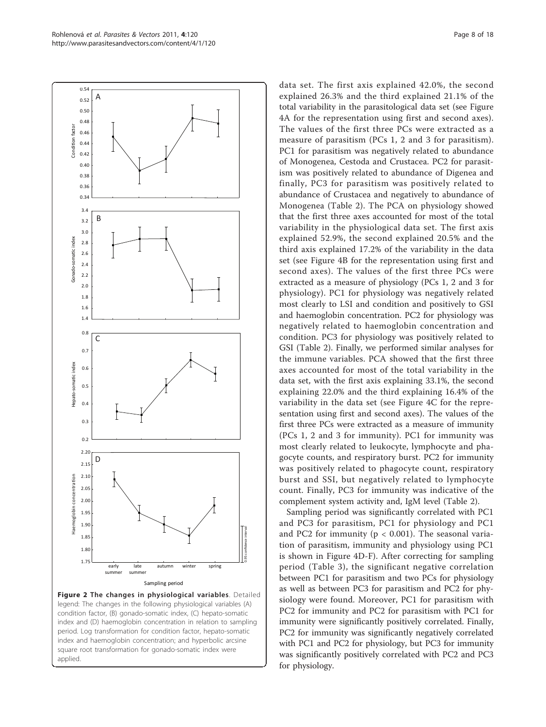<span id="page-7-0"></span>

Figure 2 The changes in physiological variables. Detailed legend: The changes in the following physiological variables (A) condition factor, (B) gonado-somatic index, (C) hepato-somatic index and (D) haemoglobin concentration in relation to sampling period. Log transformation for condition factor, hepato-somatic index and haemoglobin concentration; and hyperbolic arcsine square root transformation for gonado-somatic index were applied.

data set. The first axis explained 42.0%, the second explained 26.3% and the third explained 21.1% of the total variability in the parasitological data set (see Figure [4A](#page-9-0) for the representation using first and second axes). The values of the first three PCs were extracted as a measure of parasitism (PCs 1, 2 and 3 for parasitism). PC1 for parasitism was negatively related to abundance of Monogenea, Cestoda and Crustacea. PC2 for parasitism was positively related to abundance of Digenea and finally, PC3 for parasitism was positively related to abundance of Crustacea and negatively to abundance of Monogenea (Table [2\)](#page-10-0). The PCA on physiology showed that the first three axes accounted for most of the total variability in the physiological data set. The first axis explained 52.9%, the second explained 20.5% and the third axis explained 17.2% of the variability in the data set (see Figure [4B](#page-9-0) for the representation using first and second axes). The values of the first three PCs were extracted as a measure of physiology (PCs 1, 2 and 3 for physiology). PC1 for physiology was negatively related most clearly to LSI and condition and positively to GSI and haemoglobin concentration. PC2 for physiology was negatively related to haemoglobin concentration and condition. PC3 for physiology was positively related to GSI (Table [2\)](#page-10-0). Finally, we performed similar analyses for the immune variables. PCA showed that the first three axes accounted for most of the total variability in the data set, with the first axis explaining 33.1%, the second explaining 22.0% and the third explaining 16.4% of the variability in the data set (see Figure [4C](#page-9-0) for the representation using first and second axes). The values of the first three PCs were extracted as a measure of immunity (PCs 1, 2 and 3 for immunity). PC1 for immunity was most clearly related to leukocyte, lymphocyte and phagocyte counts, and respiratory burst. PC2 for immunity was positively related to phagocyte count, respiratory burst and SSI, but negatively related to lymphocyte count. Finally, PC3 for immunity was indicative of the complement system activity and, IgM level (Table [2](#page-10-0)).

Sampling period was significantly correlated with PC1 and PC3 for parasitism, PC1 for physiology and PC1 and PC2 for immunity ( $p < 0.001$ ). The seasonal variation of parasitism, immunity and physiology using PC1 is shown in Figure [4D-F\)](#page-9-0). After correcting for sampling period (Table [3\)](#page-11-0), the significant negative correlation between PC1 for parasitism and two PCs for physiology as well as between PC3 for parasitism and PC2 for physiology were found. Moreover, PC1 for parasitism with PC2 for immunity and PC2 for parasitism with PC1 for immunity were significantly positively correlated. Finally, PC2 for immunity was significantly negatively correlated with PC1 and PC2 for physiology, but PC3 for immunity was significantly positively correlated with PC2 and PC3 for physiology.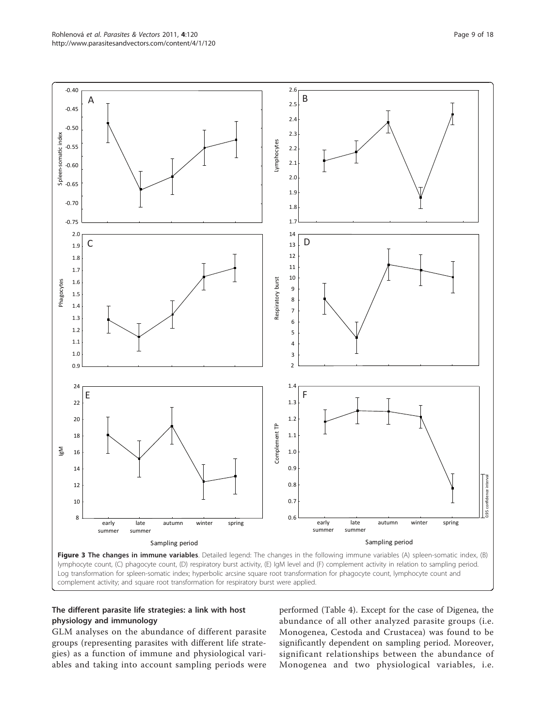<span id="page-8-0"></span>

complement activity; and square root transformation for respiratory burst were applied.

# The different parasite life strategies: a link with host physiology and immunology

GLM analyses on the abundance of different parasite groups (representing parasites with different life strategies) as a function of immune and physiological variables and taking into account sampling periods were

performed (Table [4](#page-11-0)). Except for the case of Digenea, the abundance of all other analyzed parasite groups (i.e. Monogenea, Cestoda and Crustacea) was found to be significantly dependent on sampling period. Moreover, significant relationships between the abundance of Monogenea and two physiological variables, i.e.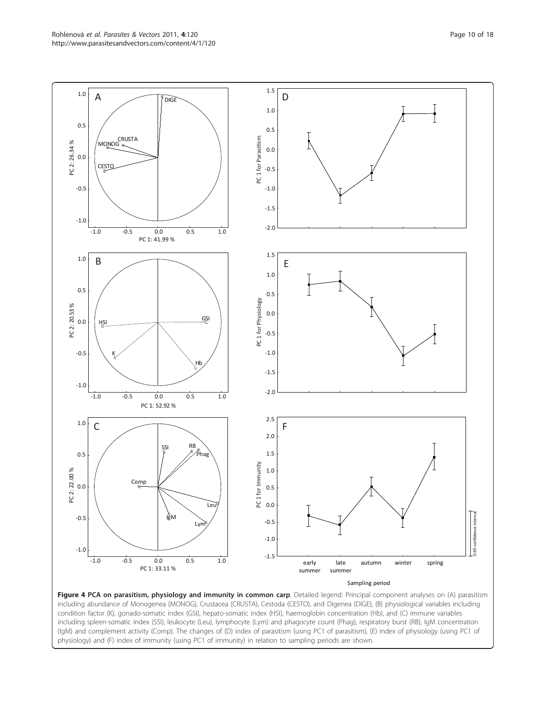<span id="page-9-0"></span>

Figure 4 PCA on parasitism, physiology and immunity in common carp. Detailed legend: Principal component analyses on (A) parasitism including abundance of Monogenea (MONOG), Crustacea (CRUSTA), Cestoda (CESTO), and Digenea (DIGE), (B) physiological variables including condition factor (K), gonado-somatic index (GSI), hepato-somatic index (HSI), haemoglobin concentration (Hb), and (C) immune variables including spleen-somatic index (SSI), leukocyte (Leu), lymphocyte (Lym) and phagocyte count (Phag), respiratory burst (RB), IgM concentration (IgM) and complement activity (Comp). The changes of (D) index of parasitism (using PC1 of parasitism), (E) index of physiology (using PC1 of physiology) and (F) index of immunity (using PC1 of immunity) in relation to sampling periods are shown.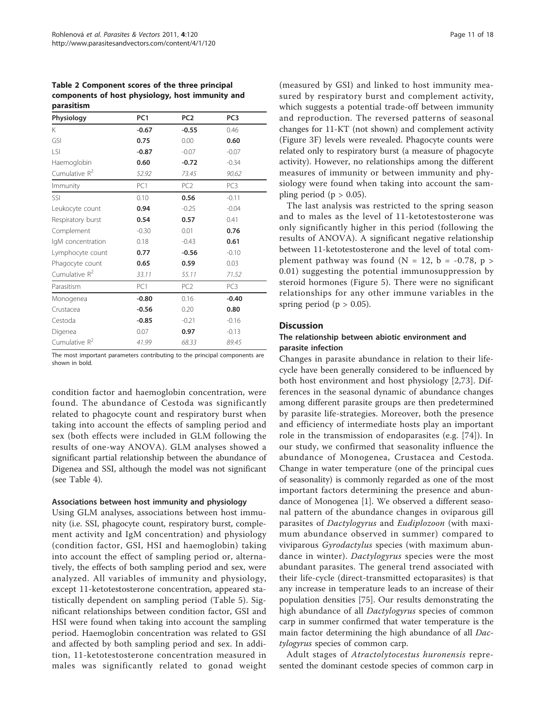<span id="page-10-0"></span>Table 2 Component scores of the three principal components of host physiology, host immunity and parasitism

| Physiology                | PC <sub>1</sub> | PC <sub>2</sub> | PC <sub>3</sub> |
|---------------------------|-----------------|-----------------|-----------------|
| K                         | $-0.67$         | $-0.55$         | 0.46            |
| <b>GSI</b>                | 0.75            | 0.00            | 0.60            |
| LSI                       | $-0.87$         | $-0.07$         | $-0.07$         |
| Haemoglobin               | 0.60            | $-0.72$         | $-0.34$         |
| Cumulative $R^2$          | 52.92           | 73.45           | 90.62           |
| Immunity                  | PC1             | PC <sub>2</sub> | PC <sub>3</sub> |
| SSI                       | 0.10            | 0.56            | $-0.11$         |
| Leukocyte count           | 0.94            | $-0.25$         | $-0.04$         |
| Respiratory burst         | 0.54            | 0.57            | 0.41            |
| Complement                | $-0.30$         | 0.01            | 0.76            |
| IgM concentration         | 0.18            | $-0.43$         | 0.61            |
| Lymphocyte count          | 0.77            | $-0.56$         | $-0.10$         |
| Phagocyte count           | 0.65            | 0.59            | 0.03            |
| Cumulative R <sup>2</sup> | 33.11           | 55.11           | 71.52           |
| Parasitism                | PC1             | PC <sub>2</sub> | PC3             |
| Monogenea                 | $-0.80$         | 0.16            | $-0.40$         |
| Crustacea                 | $-0.56$         | 0.20            | 0.80            |
| Cestoda                   | $-0.85$         | $-0.21$         | $-0.16$         |
| Digenea                   | 0.07            | 0.97            | $-0.13$         |
| Cumulative $R^2$          | 41.99           | 68.33           | 89.45           |

The most important parameters contributing to the principal components are shown in bold.

condition factor and haemoglobin concentration, were found. The abundance of Cestoda was significantly related to phagocyte count and respiratory burst when taking into account the effects of sampling period and sex (both effects were included in GLM following the results of one-way ANOVA). GLM analyses showed a significant partial relationship between the abundance of Digenea and SSI, although the model was not significant (see Table [4\)](#page-11-0).

#### Associations between host immunity and physiology

Using GLM analyses, associations between host immunity (i.e. SSI, phagocyte count, respiratory burst, complement activity and IgM concentration) and physiology (condition factor, GSI, HSI and haemoglobin) taking into account the effect of sampling period or, alternatively, the effects of both sampling period and sex, were analyzed. All variables of immunity and physiology, except 11-ketotestosterone concentration, appeared statistically dependent on sampling period (Table [5](#page-12-0)). Significant relationships between condition factor, GSI and HSI were found when taking into account the sampling period. Haemoglobin concentration was related to GSI and affected by both sampling period and sex. In addition, 11-ketotestosterone concentration measured in males was significantly related to gonad weight (measured by GSI) and linked to host immunity measured by respiratory burst and complement activity, which suggests a potential trade-off between immunity and reproduction. The reversed patterns of seasonal changes for 11-KT (not shown) and complement activity (Figure [3F\)](#page-8-0) levels were revealed. Phagocyte counts were related only to respiratory burst (a measure of phagocyte activity). However, no relationships among the different measures of immunity or between immunity and physiology were found when taking into account the sampling period ( $p > 0.05$ ).

The last analysis was restricted to the spring season and to males as the level of 11-ketotestosterone was only significantly higher in this period (following the results of ANOVA). A significant negative relationship between 11-ketotestosterone and the level of total complement pathway was found ( $N = 12$ ,  $b = -0.78$ ,  $p >$ 0.01) suggesting the potential immunosuppression by steroid hormones (Figure [5\)](#page-13-0). There were no significant relationships for any other immune variables in the spring period ( $p > 0.05$ ).

# **Discussion**

# The relationship between abiotic environment and parasite infection

Changes in parasite abundance in relation to their lifecycle have been generally considered to be influenced by both host environment and host physiology [[2,](#page-15-0)[73](#page-16-0)]. Differences in the seasonal dynamic of abundance changes among different parasite groups are then predetermined by parasite life-strategies. Moreover, both the presence and efficiency of intermediate hosts play an important role in the transmission of endoparasites (e.g. [\[74](#page-17-0)]). In our study, we confirmed that seasonality influence the abundance of Monogenea, Crustacea and Cestoda. Change in water temperature (one of the principal cues of seasonality) is commonly regarded as one of the most important factors determining the presence and abundance of Monogenea [[1](#page-15-0)]. We observed a different seasonal pattern of the abundance changes in oviparous gill parasites of Dactylogyrus and Eudiplozoon (with maximum abundance observed in summer) compared to viviparous Gyrodactylus species (with maximum abundance in winter). Dactylogyrus species were the most abundant parasites. The general trend associated with their life-cycle (direct-transmitted ectoparasites) is that any increase in temperature leads to an increase of their population densities [\[75](#page-17-0)]. Our results demonstrating the high abundance of all Dactylogyrus species of common carp in summer confirmed that water temperature is the main factor determining the high abundance of all Dactylogyrus species of common carp.

Adult stages of Atractolytocestus huronensis represented the dominant cestode species of common carp in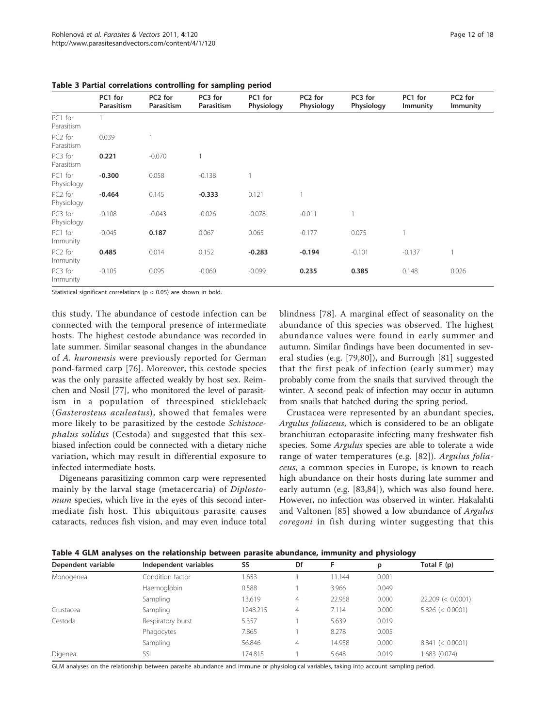|                                   | PC1 for<br>Parasitism | PC <sub>2</sub> for<br>Parasitism | PC3 for<br>Parasitism | PC1 for<br>Physiology | PC <sub>2</sub> for<br>Physiology | PC3 for<br>Physiology | PC1 for<br><b>Immunity</b> | PC2 for<br>Immunity |
|-----------------------------------|-----------------------|-----------------------------------|-----------------------|-----------------------|-----------------------------------|-----------------------|----------------------------|---------------------|
| PC1 for<br>Parasitism             |                       |                                   |                       |                       |                                   |                       |                            |                     |
| PC <sub>2</sub> for<br>Parasitism | 0.039                 |                                   |                       |                       |                                   |                       |                            |                     |
| PC3 for<br>Parasitism             | 0.221                 | $-0.070$                          |                       |                       |                                   |                       |                            |                     |
| PC1 for<br>Physiology             | $-0.300$              | 0.058                             | $-0.138$              |                       |                                   |                       |                            |                     |
| PC <sub>2</sub> for<br>Physiology | $-0.464$              | 0.145                             | $-0.333$              | 0.121                 | 1                                 |                       |                            |                     |
| PC3 for<br>Physiology             | $-0.108$              | $-0.043$                          | $-0.026$              | $-0.078$              | $-0.011$                          |                       |                            |                     |
| PC1 for<br>Immunity               | $-0.045$              | 0.187                             | 0.067                 | 0.065                 | $-0.177$                          | 0.075                 |                            |                     |
| PC <sub>2</sub> for<br>Immunity   | 0.485                 | 0.014                             | 0.152                 | $-0.283$              | $-0.194$                          | $-0.101$              | $-0.137$                   |                     |
| PC3 for<br>Immunity               | $-0.105$              | 0.095                             | $-0.060$              | $-0.099$              | 0.235                             | 0.385                 | 0.148                      | 0.026               |

<span id="page-11-0"></span>

|  |  |  | Table 3 Partial correlations controlling for sampling period |  |  |  |  |
|--|--|--|--------------------------------------------------------------|--|--|--|--|
|--|--|--|--------------------------------------------------------------|--|--|--|--|

Statistical significant correlations ( $p < 0.05$ ) are shown in bold.

this study. The abundance of cestode infection can be connected with the temporal presence of intermediate hosts. The highest cestode abundance was recorded in late summer. Similar seasonal changes in the abundance of A. huronensis were previously reported for German pond-farmed carp [\[76\]](#page-17-0). Moreover, this cestode species was the only parasite affected weakly by host sex. Reimchen and Nosil [[77](#page-17-0)], who monitored the level of parasitism in a population of threespined stickleback (Gasterosteus aculeatus), showed that females were more likely to be parasitized by the cestode Schistocephalus solidus (Cestoda) and suggested that this sexbiased infection could be connected with a dietary niche variation, which may result in differential exposure to infected intermediate hosts.

Digeneans parasitizing common carp were represented mainly by the larval stage (metacercaria) of Diplostomum species, which live in the eyes of this second intermediate fish host. This ubiquitous parasite causes cataracts, reduces fish vision, and may even induce total blindness [[78\]](#page-17-0). A marginal effect of seasonality on the abundance of this species was observed. The highest abundance values were found in early summer and autumn. Similar findings have been documented in several studies (e.g. [[79,80](#page-17-0)]), and Burrough [[81](#page-17-0)] suggested that the first peak of infection (early summer) may probably come from the snails that survived through the winter. A second peak of infection may occur in autumn from snails that hatched during the spring period.

Crustacea were represented by an abundant species, Argulus foliaceus, which is considered to be an obligate branchiuran ectoparasite infecting many freshwater fish species. Some *Argulus* species are able to tolerate a wide range of water temperatures (e.g. [\[82\]](#page-17-0)). Argulus foliaceus, a common species in Europe, is known to reach high abundance on their hosts during late summer and early autumn (e.g. [\[83](#page-17-0),[84\]](#page-17-0)), which was also found here. However, no infection was observed in winter. Hakalahti and Valtonen [\[85](#page-17-0)] showed a low abundance of Argulus coregoni in fish during winter suggesting that this

|                    |                       |          |    |        |       | --                  |  |
|--------------------|-----------------------|----------|----|--------|-------|---------------------|--|
| Dependent variable | Independent variables | SS       | Df |        | p     | Total $F(p)$        |  |
| Monogenea          | Condition factor      | 1.653    |    | 11.144 | 0.001 |                     |  |
|                    | Haemoglobin           | 0.588    |    | 3.966  | 0.049 |                     |  |
|                    | Sampling              | 13.619   | 4  | 22.958 | 0.000 | $22.209 \le 0.0001$ |  |
| Crustacea          | Sampling              | 1248.215 | 4  | 7.114  | 0.000 | 5.826 (< 0.0001)    |  |
| Cestoda            | Respiratory burst     | 5.357    |    | 5.639  | 0.019 |                     |  |
|                    | Phagocytes            | 7.865    |    | 8.278  | 0.005 |                     |  |
|                    | Sampling              | 56.846   | 4  | 14.958 | 0.000 | 8.841 (< 0.0001)    |  |
| Digenea            | SSI                   | 174.815  |    | 5.648  | 0.019 | (0.074) 683.        |  |
|                    |                       |          |    |        |       |                     |  |

GLM analyses on the relationship between parasite abundance and immune or physiological variables, taking into account sampling period.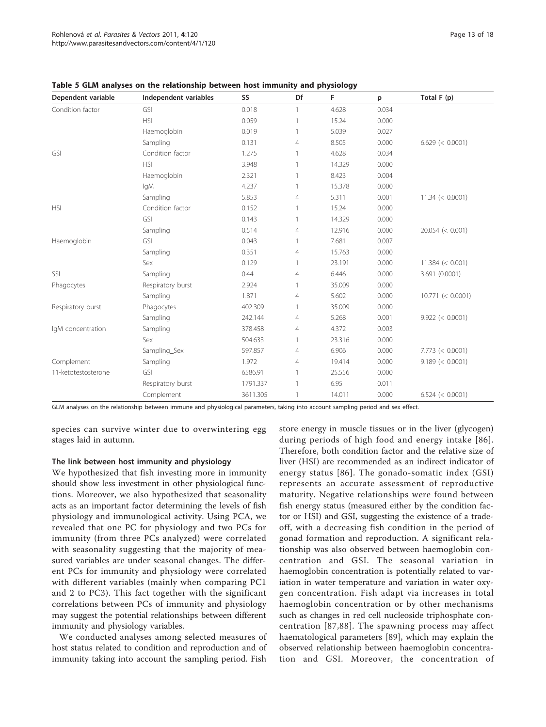| Dependent variable  | Independent variables | SS       | Df | F      | p     | Total F (p)         |
|---------------------|-----------------------|----------|----|--------|-------|---------------------|
| Condition factor    | GSI                   | 0.018    | 1  | 4.628  | 0.034 |                     |
|                     | <b>HSI</b>            | 0.059    |    | 15.24  | 0.000 |                     |
|                     | Haemoglobin           | 0.019    | 1  | 5.039  | 0.027 |                     |
|                     | Sampling              | 0.131    | 4  | 8.505  | 0.000 | 6.629 (< 0.0001)    |
| GSI                 | Condition factor      | 1.275    |    | 4.628  | 0.034 |                     |
|                     | <b>HSI</b>            | 3.948    |    | 14.329 | 0.000 |                     |
|                     | Haemoglobin           | 2.321    |    | 8.423  | 0.004 |                     |
|                     | lgM                   | 4.237    |    | 15.378 | 0.000 |                     |
|                     | Sampling              | 5.853    | 4  | 5.311  | 0.001 | $11.34 \leq 0.0001$ |
| <b>HSI</b>          | Condition factor      | 0.152    |    | 15.24  | 0.000 |                     |
|                     | GSI                   | 0.143    |    | 14.329 | 0.000 |                     |
|                     | Sampling              | 0.514    | 4  | 12.916 | 0.000 | 20.054 (< 0.001)    |
| Haemoglobin         | GSI                   | 0.043    | 1  | 7.681  | 0.007 |                     |
|                     | Sampling              | 0.351    | 4  | 15.763 | 0.000 |                     |
|                     | Sex                   | 0.129    |    | 23.191 | 0.000 | 11.384 (< 0.001)    |
| SSI                 | Sampling              | 0.44     | 4  | 6.446  | 0.000 | 3.691 (0.0001)      |
| Phagocytes          | Respiratory burst     | 2.924    |    | 35.009 | 0.000 |                     |
|                     | Sampling              | 1.871    | 4  | 5.602  | 0.000 | 10.771 (< 0.0001)   |
| Respiratory burst   | Phagocytes            | 402.309  |    | 35.009 | 0.000 |                     |
|                     | Sampling              | 242.144  | 4  | 5.268  | 0.001 | 9.922 (< 0.0001)    |
| IgM concentration   | Sampling              | 378.458  | 4  | 4.372  | 0.003 |                     |
|                     | Sex                   | 504.633  |    | 23.316 | 0.000 |                     |
|                     | Sampling_Sex          | 597.857  | 4  | 6.906  | 0.000 | 7.773 (< 0.0001)    |
| Complement          | Sampling              | 1.972    | 4  | 19.414 | 0.000 | 9.189 (< 0.0001)    |
| 11-ketotestosterone | GSI                   | 6586.91  | 1  | 25.556 | 0.000 |                     |
|                     | Respiratory burst     | 1791.337 | 1  | 6.95   | 0.011 |                     |
|                     | Complement            | 3611.305 |    | 14.011 | 0.000 | 6.524 (< 0.0001)    |

<span id="page-12-0"></span>Table 5 GLM analyses on the relationship between host immunity and physiology

GLM analyses on the relationship between immune and physiological parameters, taking into account sampling period and sex effect.

species can survive winter due to overwintering egg stages laid in autumn.

#### The link between host immunity and physiology

We hypothesized that fish investing more in immunity should show less investment in other physiological functions. Moreover, we also hypothesized that seasonality acts as an important factor determining the levels of fish physiology and immunological activity. Using PCA, we revealed that one PC for physiology and two PCs for immunity (from three PCs analyzed) were correlated with seasonality suggesting that the majority of measured variables are under seasonal changes. The different PCs for immunity and physiology were correlated with different variables (mainly when comparing PC1 and 2 to PC3). This fact together with the significant correlations between PCs of immunity and physiology may suggest the potential relationships between different immunity and physiology variables.

We conducted analyses among selected measures of host status related to condition and reproduction and of immunity taking into account the sampling period. Fish store energy in muscle tissues or in the liver (glycogen) during periods of high food and energy intake [[86\]](#page-17-0). Therefore, both condition factor and the relative size of liver (HSI) are recommended as an indirect indicator of energy status [[86\]](#page-17-0). The gonado-somatic index (GSI) represents an accurate assessment of reproductive maturity. Negative relationships were found between fish energy status (measured either by the condition factor or HSI) and GSI, suggesting the existence of a tradeoff, with a decreasing fish condition in the period of gonad formation and reproduction. A significant relationship was also observed between haemoglobin concentration and GSI. The seasonal variation in haemoglobin concentration is potentially related to variation in water temperature and variation in water oxygen concentration. Fish adapt via increases in total haemoglobin concentration or by other mechanisms such as changes in red cell nucleoside triphosphate concentration [[87,88\]](#page-17-0). The spawning process may affect haematological parameters [[89\]](#page-17-0), which may explain the observed relationship between haemoglobin concentration and GSI. Moreover, the concentration of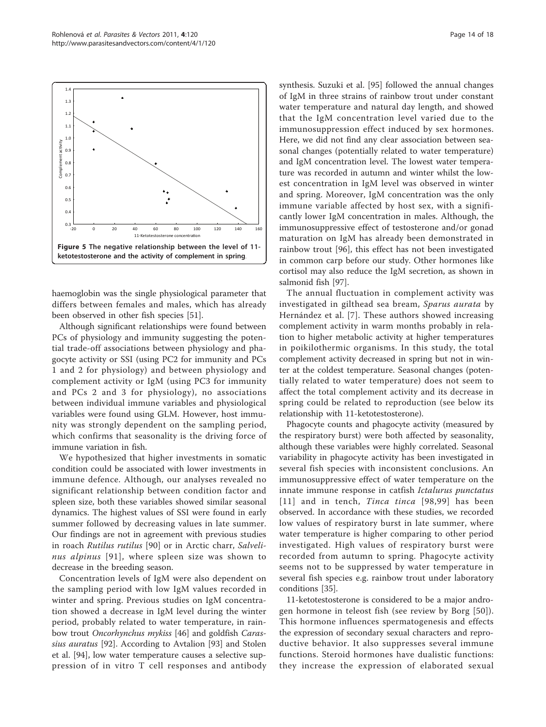<span id="page-13-0"></span>

haemoglobin was the single physiological parameter that differs between females and males, which has already been observed in other fish species [[51\]](#page-16-0).

Although significant relationships were found between PCs of physiology and immunity suggesting the potential trade-off associations between physiology and phagocyte activity or SSI (using PC2 for immunity and PCs 1 and 2 for physiology) and between physiology and complement activity or IgM (using PC3 for immunity and PCs 2 and 3 for physiology), no associations between individual immune variables and physiological variables were found using GLM. However, host immunity was strongly dependent on the sampling period, which confirms that seasonality is the driving force of immune variation in fish.

We hypothesized that higher investments in somatic condition could be associated with lower investments in immune defence. Although, our analyses revealed no significant relationship between condition factor and spleen size, both these variables showed similar seasonal dynamics. The highest values of SSI were found in early summer followed by decreasing values in late summer. Our findings are not in agreement with previous studies in roach Rutilus rutilus [[90](#page-17-0)] or in Arctic charr, Salveli-nus alpinus [[91](#page-17-0)], where spleen size was shown to decrease in the breeding season.

Concentration levels of IgM were also dependent on the sampling period with low IgM values recorded in winter and spring. Previous studies on IgM concentration showed a decrease in IgM level during the winter period, probably related to water temperature, in rain-bow trout Oncorhynchus mykiss [[46\]](#page-16-0) and goldfish Carassius auratus [\[92](#page-17-0)]. According to Avtalion [\[93\]](#page-17-0) and Stolen et al. [\[94\]](#page-17-0), low water temperature causes a selective suppression of in vitro T cell responses and antibody synthesis. Suzuki et al. [\[95](#page-17-0)] followed the annual changes of IgM in three strains of rainbow trout under constant water temperature and natural day length, and showed that the IgM concentration level varied due to the immunosuppression effect induced by sex hormones. Here, we did not find any clear association between seasonal changes (potentially related to water temperature) and IgM concentration level. The lowest water temperature was recorded in autumn and winter whilst the lowest concentration in IgM level was observed in winter and spring. Moreover, IgM concentration was the only immune variable affected by host sex, with a significantly lower IgM concentration in males. Although, the immunosuppressive effect of testosterone and/or gonad maturation on IgM has already been demonstrated in rainbow trout [[96](#page-17-0)], this effect has not been investigated in common carp before our study. Other hormones like cortisol may also reduce the IgM secretion, as shown in salmonid fish [[97\]](#page-17-0).

The annual fluctuation in complement activity was investigated in gilthead sea bream, Sparus aurata by Hernández et al. [\[7](#page-15-0)]. These authors showed increasing complement activity in warm months probably in relation to higher metabolic activity at higher temperatures in poikilothermic organisms. In this study, the total complement activity decreased in spring but not in winter at the coldest temperature. Seasonal changes (potentially related to water temperature) does not seem to affect the total complement activity and its decrease in spring could be related to reproduction (see below its relationship with 11-ketotestosterone).

Phagocyte counts and phagocyte activity (measured by the respiratory burst) were both affected by seasonality, although these variables were highly correlated. Seasonal variability in phagocyte activity has been investigated in several fish species with inconsistent conclusions. An immunosuppressive effect of water temperature on the innate immune response in catfish Ictalurus punctatus [[11](#page-15-0)] and in tench, Tinca tinca [[98](#page-17-0),[99\]](#page-17-0) has been observed. In accordance with these studies, we recorded low values of respiratory burst in late summer, where water temperature is higher comparing to other period investigated. High values of respiratory burst were recorded from autumn to spring. Phagocyte activity seems not to be suppressed by water temperature in several fish species e.g. rainbow trout under laboratory conditions [[35](#page-16-0)].

11-ketotestosterone is considered to be a major androgen hormone in teleost fish (see review by Borg [\[50\]](#page-16-0)). This hormone influences spermatogenesis and effects the expression of secondary sexual characters and reproductive behavior. It also suppresses several immune functions. Steroid hormones have dualistic functions: they increase the expression of elaborated sexual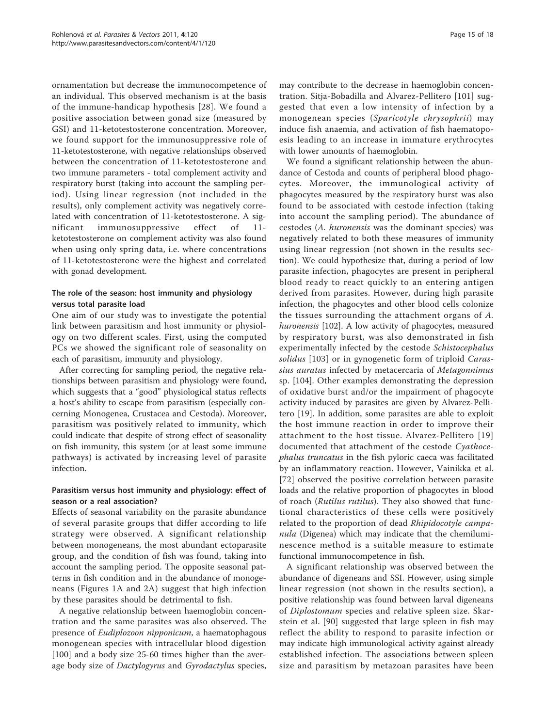ornamentation but decrease the immunocompetence of an individual. This observed mechanism is at the basis of the immune-handicap hypothesis [[28\]](#page-16-0). We found a positive association between gonad size (measured by GSI) and 11-ketotestosterone concentration. Moreover, we found support for the immunosuppressive role of 11-ketotestosterone, with negative relationships observed between the concentration of 11-ketotestosterone and two immune parameters - total complement activity and respiratory burst (taking into account the sampling period). Using linear regression (not included in the results), only complement activity was negatively correlated with concentration of 11-ketotestosterone. A significant immunosuppressive effect of 11 ketotestosterone on complement activity was also found when using only spring data, i.e. where concentrations of 11-ketotestosterone were the highest and correlated with gonad development.

# The role of the season: host immunity and physiology versus total parasite load

One aim of our study was to investigate the potential link between parasitism and host immunity or physiology on two different scales. First, using the computed PCs we showed the significant role of seasonality on each of parasitism, immunity and physiology.

After correcting for sampling period, the negative relationships between parasitism and physiology were found, which suggests that a "good" physiological status reflects a host's ability to escape from parasitism (especially concerning Monogenea, Crustacea and Cestoda). Moreover, parasitism was positively related to immunity, which could indicate that despite of strong effect of seasonality on fish immunity, this system (or at least some immune pathways) is activated by increasing level of parasite infection.

# Parasitism versus host immunity and physiology: effect of season or a real association?

Effects of seasonal variability on the parasite abundance of several parasite groups that differ according to life strategy were observed. A significant relationship between monogeneans, the most abundant ectoparasite group, and the condition of fish was found, taking into account the sampling period. The opposite seasonal patterns in fish condition and in the abundance of monogeneans (Figures [1A](#page-6-0) and [2A](#page-7-0)) suggest that high infection by these parasites should be detrimental to fish.

A negative relationship between haemoglobin concentration and the same parasites was also observed. The presence of *Eudiplozoon nipponicum*, a haematophagous monogenean species with intracellular blood digestion [[100\]](#page-17-0) and a body size 25-60 times higher than the average body size of *Dactylogyrus* and *Gyrodactylus* species, may contribute to the decrease in haemoglobin concentration. Sitja-Bobadilla and Alvarez-Pellitero [[101](#page-17-0)] suggested that even a low intensity of infection by a monogenean species (Sparicotyle chrysophrii) may induce fish anaemia, and activation of fish haematopoesis leading to an increase in immature erythrocytes with lower amounts of haemoglobin.

We found a significant relationship between the abundance of Cestoda and counts of peripheral blood phagocytes. Moreover, the immunological activity of phagocytes measured by the respiratory burst was also found to be associated with cestode infection (taking into account the sampling period). The abundance of cestodes (A. huronensis was the dominant species) was negatively related to both these measures of immunity using linear regression (not shown in the results section). We could hypothesize that, during a period of low parasite infection, phagocytes are present in peripheral blood ready to react quickly to an entering antigen derived from parasites. However, during high parasite infection, the phagocytes and other blood cells colonize the tissues surrounding the attachment organs of A. huronensis [\[102](#page-17-0)]. A low activity of phagocytes, measured by respiratory burst, was also demonstrated in fish experimentally infected by the cestode Schistocephalus solidus [\[103](#page-17-0)] or in gynogenetic form of triploid Carassius auratus infected by metacercaria of Metagonnimus sp. [[104](#page-17-0)]. Other examples demonstrating the depression of oxidative burst and/or the impairment of phagocyte activity induced by parasites are given by Alvarez-Pellitero [[19\]](#page-15-0). In addition, some parasites are able to exploit the host immune reaction in order to improve their attachment to the host tissue. Alvarez-Pellitero [[19](#page-15-0)] documented that attachment of the cestode Cyathocephalus truncatus in the fish pyloric caeca was facilitated by an inflammatory reaction. However, Vainikka et al. [[72](#page-16-0)] observed the positive correlation between parasite loads and the relative proportion of phagocytes in blood of roach (Rutilus rutilus). They also showed that functional characteristics of these cells were positively related to the proportion of dead Rhipidocotyle campanula (Digenea) which may indicate that the chemiluminescence method is a suitable measure to estimate functional immunocompetence in fish.

A significant relationship was observed between the abundance of digeneans and SSI. However, using simple linear regression (not shown in the results section), a positive relationship was found between larval digeneans of Diplostomum species and relative spleen size. Skarstein et al. [[90\]](#page-17-0) suggested that large spleen in fish may reflect the ability to respond to parasite infection or may indicate high immunological activity against already established infection. The associations between spleen size and parasitism by metazoan parasites have been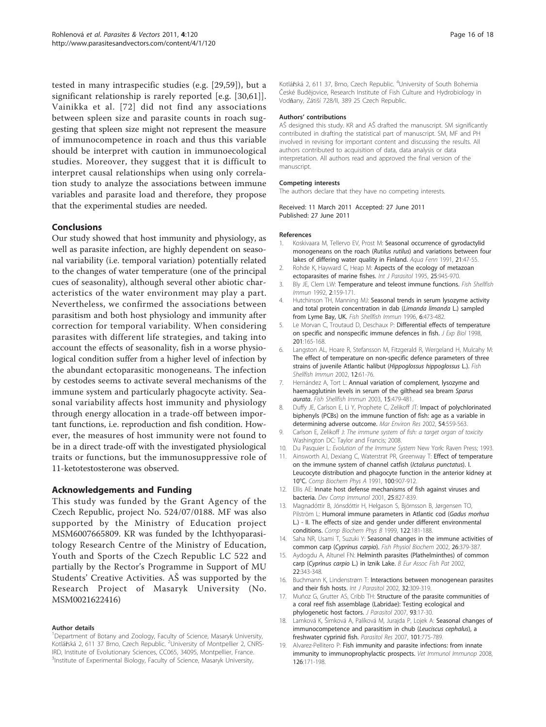<span id="page-15-0"></span>tested in many intraspecific studies (e.g. [[29,59](#page-16-0)]), but a significant relationship is rarely reported [e.g. [[30](#page-16-0),[61\]](#page-16-0)]. Vainikka et al. [[72\]](#page-16-0) did not find any associations between spleen size and parasite counts in roach suggesting that spleen size might not represent the measure of immunocompetence in roach and thus this variable should be interpret with caution in immunoecological studies. Moreover, they suggest that it is difficult to interpret causal relationships when using only correlation study to analyze the associations between immune variables and parasite load and therefore, they propose that the experimental studies are needed.

#### Conclusions

Our study showed that host immunity and physiology, as well as parasite infection, are highly dependent on seasonal variability (i.e. temporal variation) potentially related to the changes of water temperature (one of the principal cues of seasonality), although several other abiotic characteristics of the water environment may play a part. Nevertheless, we confirmed the associations between parasitism and both host physiology and immunity after correction for temporal variability. When considering parasites with different life strategies, and taking into account the effects of seasonality, fish in a worse physiological condition suffer from a higher level of infection by the abundant ectoparasitic monogeneans. The infection by cestodes seems to activate several mechanisms of the immune system and particularly phagocyte activity. Seasonal variability affects host immunity and physiology through energy allocation in a trade-off between important functions, i.e. reproduction and fish condition. However, the measures of host immunity were not found to be in a direct trade-off with the investigated physiological traits or functions, but the immunosuppressive role of 11-ketotestosterone was observed.

#### Acknowledgements and Funding

This study was funded by the Grant Agency of the Czech Republic, project No. 524/07/0188. MF was also supported by the Ministry of Education project MSM6007665809. KR was funded by the Ichthyoparasitology Research Centre of the Ministry of Education, Youth and Sports of the Czech Republic LC 522 and partially by the Rector's Programme in Support of MU Students' Creative Activities. AŠ was supported by the Research Project of Masaryk University (No. MSM0021622416)

#### Author details

<sup>1</sup>Department of Botany and Zoology, Faculty of Science, Masaryk University, Kotlářská 2, 611 37 Brno, Czech Republic. <sup>2</sup>University of Montpellier 2, CNRS-IRD, Institute of Evolutionary Sciences, CC065, 34095, Montpellier, France. <sup>3</sup>Institute of Experimental Biology, Faculty of Science, Masaryk University,

Kotlářská 2, 611 37, Brno, Czech Republic. <sup>4</sup>University of South Bohemia České Budějovice, Research Institute of Fish Culture and Hydrobiology in Vodňany, Zátiší 728/II, 389 25 Czech Republic.

#### Authors' contributions

AŠ designed this study. KR and AŠ drafted the manuscript. SM significantly contributed in drafting the statistical part of manuscript. SM, MF and PH involved in revising for important content and discussing the results. All authors contributed to acquisition of data, data analysis or data interpretation. All authors read and approved the final version of the manuscript.

#### Competing interests

The authors declare that they have no competing interests.

Received: 11 March 2011 Accepted: 27 June 2011 Published: 27 June 2011

#### References

- 1. Koskivaara M, Tellervo EV, Prost M: Seasonal occurrence of gyrodactylid monogeneans on the roach (Rutilus rutilus) and variations between four lakes of differing water quality in Finland. Aqua Fenn 1991, 21:47-55.
- 2. Rohde K, Hayward C, Heap M: [Aspects of the ecology of metazoan](http://www.ncbi.nlm.nih.gov/pubmed/8550295?dopt=Abstract) [ectoparasites of marine fishes.](http://www.ncbi.nlm.nih.gov/pubmed/8550295?dopt=Abstract) Int J Parasitol 1995, 25:945-970.
- 3. Bly JE, Clem LW: Temperature and teleost immune functions. Fish Shellfish Immun 1992, 2:159-171.
- 4. Hutchinson TH, Manning MJ: Seasonal trends in serum lysozyme activity and total protein concentration in dab (Limanda limanda L.) sampled from Lyme Bay, UK. Fish Shellfish Immun 1996, 6:473-482.
- 5. Le Morvan C, Troutaud D, Deschaux P: [Differential effects of temperature](http://www.ncbi.nlm.nih.gov/pubmed/9405298?dopt=Abstract) [on specific and nonspecific immune defences in fish.](http://www.ncbi.nlm.nih.gov/pubmed/9405298?dopt=Abstract) J Exp Biol 1998, 201:165-168.
- 6. Langston AL, Hoare R, Stefansson M, Fitzgerald R, Wergeland H, Mulcahy M: The effect of temperature on non-specific defence parameters of three strains of juvenile Atlantic halibut (Hippoglossus hippoglossus L.). Fish Shellfish Immun 2002, 12:61-76.
- 7. Hernández A, Tort L: Annual variation of complement, lysozyme and haemagglutinin levels in serum of the gilthead sea bream Sparus aurata. Fish Shellfish Immun 2003, 15:479-481.
- 8. Duffy JE, Carlson E, Li Y, Prophete C, Zelikoff JT: [Impact of polychlorinated](http://www.ncbi.nlm.nih.gov/pubmed/12408617?dopt=Abstract) [biphenyls \(PCBs\) on the immune function of fish: age as a variable in](http://www.ncbi.nlm.nih.gov/pubmed/12408617?dopt=Abstract) [determining adverse outcome.](http://www.ncbi.nlm.nih.gov/pubmed/12408617?dopt=Abstract) Mar Environ Res 2002, 54:559-563.
- 9. Carlson E, Zelikoff J: The immune system of fish: a target organ of toxicity Washington DC: Taylor and Francis; 2008.
- 10. Du Pasquier L: Evolution of the Immune System New York: Raven Press; 1993.
- 11. Ainsworth AJ, Dexiang C, Waterstrat PR, Greenway T: Effect of temperature on the immune system of channel catfish (Ictalurus punctatus). I. Leucocyte distribution and phagocyte function in the anterior kidney at 10°C. Comp Biochem Phys A 1991, 100:907-912.
- 12. Ellis AE: [Innate host defense mechanisms of fish against viruses and](http://www.ncbi.nlm.nih.gov/pubmed/11602198?dopt=Abstract) [bacteria.](http://www.ncbi.nlm.nih.gov/pubmed/11602198?dopt=Abstract) Dev Comp Immunol 2001, 25:827-839.
- 13. Magnadóttir B, Jónsdóttir H, Helgason S, Björnsson B, Jørgensen TO, Pilström L: Humoral immune parameters in Atlantic cod (Gadus morhua L.) - II. The effects of size and gender under different environmental conditions. Comp Biochem Phys B 1999, 122:181-188.
- 14. Saha NR, Usami T, Suzuki Y: Seasonal changes in the immune activities of common carp (Cyprinus carpio). Fish Physiol Biochem 2002, 26:379-387.
- 15. Aydogdu A, Altunel FN: Helminth parasites (Plathelminthes) of common carp (Cyprinus carpio L.) in Iznik Lake. B Eur Assoc Fish Pat 2002, 22:343-348.
- 16. Buchmann K, Lindenstrøm T: [Interactions between monogenean parasites](http://www.ncbi.nlm.nih.gov/pubmed/11835971?dopt=Abstract) [and their fish hosts.](http://www.ncbi.nlm.nih.gov/pubmed/11835971?dopt=Abstract) Int J Parasitol 2002, 32:309-319.
- 17. Muñoz G, Grutter AS, Cribb TH: [Structure of the parasite communities of](http://www.ncbi.nlm.nih.gov/pubmed/17436938?dopt=Abstract) [a coral reef fish assemblage \(Labridae\): Testing ecological and](http://www.ncbi.nlm.nih.gov/pubmed/17436938?dopt=Abstract) [phylogenetic host factors.](http://www.ncbi.nlm.nih.gov/pubmed/17436938?dopt=Abstract) J Parasitol 2007, 93:17-30.
- 18. Lamková K, Šimková A, Palíková M, Jurajda P, Lojek A: [Seasonal changes of](http://www.ncbi.nlm.nih.gov/pubmed/17557157?dopt=Abstract) [immunocompetence and parasitism in chub \(](http://www.ncbi.nlm.nih.gov/pubmed/17557157?dopt=Abstract)Leuciscus cephalus), a [freshwater cyprinid fish.](http://www.ncbi.nlm.nih.gov/pubmed/17557157?dopt=Abstract) Parasitol Res 2007, 101:775-789.
- 19. Alvarez-Pellitero P: Fish immunity and parasite infections: from innate immunity to immunoprophylactic prospects. Vet Immunol Immunop 2008, 126:171-198.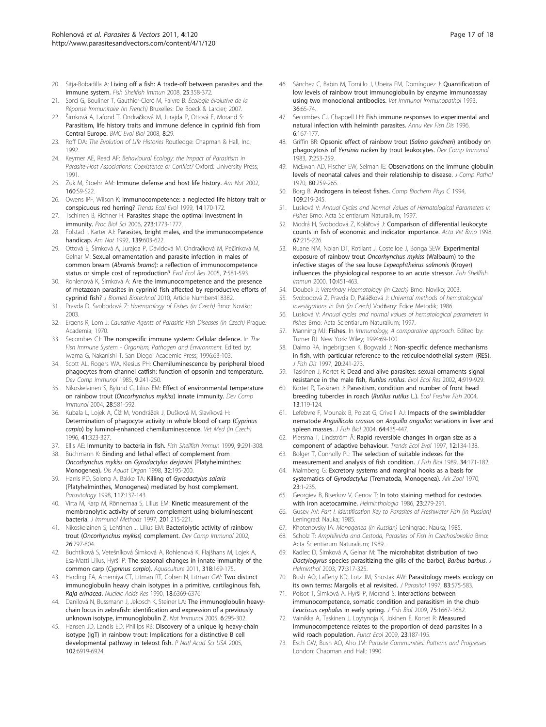- <span id="page-16-0"></span>20. Sitia-Bobadilla A: Living off a fish: A trade-off between parasites and the immune system. Fish Shellfish Immun 2008, 25:358-372.
- 21. Sorci G, Bouliner T, Gauthier-Clerc M, Faivre B: Écologie évolutive de la Réponse Immunitaire (in French) Bruxelles: De Boeck & Larcier; 2007.
- 22. Šimková A, Lafond T, Ondračková M, Jurajda P, Ottová E, Morand S: [Parasitism, life history traits and immune defence in cyprinid fish from](http://www.ncbi.nlm.nih.gov/pubmed/18226212?dopt=Abstract) [Central Europe.](http://www.ncbi.nlm.nih.gov/pubmed/18226212?dopt=Abstract) BMC Evol Biol 2008, 8:29.
- 23. Roff DA: The Evolution of Life Histories Routledge: Chapman & Hall, Inc.; 1992.
- 24. Keymer AE, Read AF: Behavioural Ecology: the Impact of Parasitism in Parasite-Host Associations: Coexistence or Conflict? Oxford: University Press; 1991.
- 25. Zuk M, Stoehr AM: [Immune defense and host life history.](http://www.ncbi.nlm.nih.gov/pubmed/18707455?dopt=Abstract) Am Nat 2002, 160:S9-S22.
- 26. Owens IPF, Wilson K: Immunocompetence: a neglected life history trait or conspicuous red herring? Trends Ecol Evol 1999, 14:170-172.
- 27. Tschirren B, Richner H: [Parasites shape the optimal investment in](http://www.ncbi.nlm.nih.gov/pubmed/16790410?dopt=Abstract) [immunity.](http://www.ncbi.nlm.nih.gov/pubmed/16790410?dopt=Abstract) Proc Biol Sci 2006, 273:1773-1777.
- 28. Folstad I, Karter AJ: Parasites, bright males, and the immunocompetence handicap. Am Nat 1992, 139:603-622.
- 29. Ottová E, Šimková A, Jurajda P, Dávidová M, Ondračková M, Pečínková M, Gelnar M: Sexual ornamentation and parasite infection in males of common bream (Abramis brama): a reflection of immunocompetence status or simple cost of reproduction? Evol Ecol Res 2005, 7:581-593.
- 30. Rohlenová K, Šimková A: Are the immunocompetence and the presence of metazoan parasites in cyprinid fish affected by reproductive efforts of cyprinid fish? J Biomed Biotechnol 2010, Article Number:418382.
- 31. Pravda D, Svobodová Z: Haematology of Fishes (in Czech) Brno: Noviko; 2003.
- 32. Ergens R, Lom J: Causative Agents of Parasitic Fish Diseases (in Czech) Prague: Academia; 1970.
- 33. Secombes CJ: The nonspecific immune system: Cellular defence. In The Fish Immune System - Organism, Pathogen and Environment. Edited by: Iwama G, Nakanishi T. San Diego: Academic Press; 1996:63-103.
- 34. Scott AL, Rogers WA, Klesius PH: [Chemiluminescence by peripheral blood](http://www.ncbi.nlm.nih.gov/pubmed/4018342?dopt=Abstract) [phagocytes from channel catfish: function of opsonin and temperature.](http://www.ncbi.nlm.nih.gov/pubmed/4018342?dopt=Abstract) Dev Comp Immunol 1985, 9:241-250.
- 35. Nikoskelainen S, Bylund G, Lilius EM: [Effect of environmental temperature](http://www.ncbi.nlm.nih.gov/pubmed/15177112?dopt=Abstract) on rainbow trout ([Oncorhynchus mykiss](http://www.ncbi.nlm.nih.gov/pubmed/15177112?dopt=Abstract)) innate immunity. Dev Comp Immunol 2004, 28:581-592.
- 36. Kubala L, Lojek A, Číž M, Vondráček J, Dušková M, Slavíková H: Determination of phagocyte activity in whole blood of carp (Cyprinus carpio) by luminol-enhanced chemiluminescence. Vet Med (in Czech) 1996, 41:323-327.
- 37. Ellis AE: Immunity to bacteria in fish. Fish Shellfish Immun 1999, 9:291-308.
- 38. Buchmann K: [Binding and lethal effect of complement from](http://www.ncbi.nlm.nih.gov/pubmed/9676245?dopt=Abstract) Oncorhynchus mykiss on [Gyrodactylus derjavini](http://www.ncbi.nlm.nih.gov/pubmed/9676245?dopt=Abstract) (Platyhelminthes: [Monogenea\).](http://www.ncbi.nlm.nih.gov/pubmed/9676245?dopt=Abstract) Dis Aquat Organ 1998, 32:195-200.
- 39. Harris PD, Soleng A, Bakke TA: Killing of [Gyrodactylus salaris](http://www.ncbi.nlm.nih.gov/pubmed/9778636?dopt=Abstract) [\(Platyhelminthes, Monogenea\) mediated by host complement.](http://www.ncbi.nlm.nih.gov/pubmed/9778636?dopt=Abstract) Parasitology 1998, 117:137-143.
- 40. Virta M, Karp M, Rönnemaa S, Lilius EM: [Kinetic measurement of the](http://www.ncbi.nlm.nih.gov/pubmed/9050943?dopt=Abstract) [membranolytic activity of serum complement using bioluminescent](http://www.ncbi.nlm.nih.gov/pubmed/9050943?dopt=Abstract) [bacteria.](http://www.ncbi.nlm.nih.gov/pubmed/9050943?dopt=Abstract) J Immunol Methods 1997, 201:215-221.
- 41. Nikoskelainen S, Lehtinen J, Lilius EM: [Bacteriolytic activity of rainbow](http://www.ncbi.nlm.nih.gov/pubmed/12377219?dopt=Abstract) trout ([Oncorhynchus mykiss](http://www.ncbi.nlm.nih.gov/pubmed/12377219?dopt=Abstract)) complement. Dev Comp Immunol 2002, 26:797-804.
- 42. Buchtíková S, Vetešníková Šimková A, Rohlenová K, Flajšhans M, Lojek A, Esa-Matti Lilius, Hyršl P: The seasonal changes in innate immunity of the common carp (Cyprinus carpio). Aquaculture 2011, 318:169-175.
- 43. Harding FA, Amemiya CT, Litman RT, Cohen N, Litman GW: [Two distinct](http://www.ncbi.nlm.nih.gov/pubmed/2123029?dopt=Abstract) [immunoglobulin heavy chain isotypes in a primitive, cartilaginous fish,](http://www.ncbi.nlm.nih.gov/pubmed/2123029?dopt=Abstract) [Raja erinacea](http://www.ncbi.nlm.nih.gov/pubmed/2123029?dopt=Abstract). Nucleic Acids Res 1990, 18:6369-6376.
- 44. Danilová N, Bussmann J, Jekosch K, Steiner LA: [The immunoglobulin heavy](http://www.ncbi.nlm.nih.gov/pubmed/15685175?dopt=Abstract)[chain locus in zebrafish: identification and expression of a previously](http://www.ncbi.nlm.nih.gov/pubmed/15685175?dopt=Abstract) [unknown isotype, immunoglobulin Z.](http://www.ncbi.nlm.nih.gov/pubmed/15685175?dopt=Abstract) Nat Immunol 2005, 6:295-302.
- 45. Hansen JD, Landis ED, Phillips RB: Discovery of a unique Ig heavy-chain isotype (IgT) in rainbow trout: Implications for a distinctive B cell developmental pathway in teleost fish. P Natl Acad Sci USA 2005, 102:6919-6924.
- 46. Sánchez C, Babin M, Tomillo J, Ubeira FM, Domínguez J: [Quantification of](http://www.ncbi.nlm.nih.gov/pubmed/7680509?dopt=Abstract) [low levels of rainbow trout immunoglobulin by enzyme immunoassay](http://www.ncbi.nlm.nih.gov/pubmed/7680509?dopt=Abstract) [using two monoclonal antibodies.](http://www.ncbi.nlm.nih.gov/pubmed/7680509?dopt=Abstract) Vet Immunol Immunopathol 1993, 36:65-74.
- 47. Secombes CJ, Chappell LH: Fish immune responses to experimental and natural infection with helminth parasites. Annu Rev Fish Dis 1996, 6:167-177.
- 48. Griffin BR: [Opsonic effect of rainbow trout \(](http://www.ncbi.nlm.nih.gov/pubmed/6873424?dopt=Abstract)Salmo gairdneri) antibody on phagocytosis of Yersinia ruckeri [by trout leukocytes.](http://www.ncbi.nlm.nih.gov/pubmed/6873424?dopt=Abstract) Dev Comp Immunol 1983, 7:253-259.
- 49. McEwan AD, Fischer EW, Selman IE: [Observations on the immune globulin](http://www.ncbi.nlm.nih.gov/pubmed/4194798?dopt=Abstract) [levels of neonatal calves and their relationship to disease.](http://www.ncbi.nlm.nih.gov/pubmed/4194798?dopt=Abstract) J Comp Pathol 1970, 80:259-265.
- 50. Borg B: Androgens in teleost fishes. Comp Biochem Phys C 1994, 109:219-245.
- 51. Lusková V: Annual Cycles and Normal Values of Hematological Parameters in Fishes Brno: Acta Scientiarum Naturalium; 1997.
- 52. Modrá H, Svobodová Z, Kolářová J: Comparison of differential leukocyte counts in fish of economic and indicator importance. Acta Vet Brno 1998, 67:215-226.
- 53. Ruane NM, Nolan DT, Rotllant J, Costelloe J, Bonga SEW: Experimental exposure of rainbow trout Oncorhynchus mykiss (Walbaum) to the infective stages of the sea louse Lepeophtheirus salmonis (Kroyer) influences the physiological response to an acute stressor. Fish Shellfish Immun 2000, 10:451-463.
- 54. Doubek J: Veterinary Haematology (in Czech) Brno: Noviko; 2003.
- 55. Svobodová Z, Pravda D, Paláčková J: Universal methods of hematological investigations in fish (in Czech) Vodňany: Edice Metodik; 1986.
- 56. Lusková V: Annual cycles and normal values of hematological parameters in fishes Brno: Acta Scientiarum Naturalium; 1997.
- 57. Manning MJ: Fishes. In Immunology, A comparative approach. Edited by: Turner RJ. New York: Wiley; 1994:69-100.
- 58. Dalmo RA, Ingebrigtsen K, Bogwald J: Non-specific defence mechanisms in fish, with particular reference to the reticuloendothelial system (RES). J Fish Dis 1997, 20:241-273.
- 59. Taskinen J, Kortet R: Dead and alive parasites: sexual ornaments signal resistance in the male fish, Rutilus rutilus. Evol Ecol Res 2002, 4:919-929.
- 60. Kortet R, Taskinen J: Parasitism, condition and number of front head breeding tubercles in roach (Rutilus rutilus L.). Ecol Freshw Fish 2004, 13:119-124.
- 61. Lefebvre F, Mounaix B, Poizat G, Crivelli AJ: Impacts of the swimbladder nematode Anguillicola crassus on Anguilla anguilla: variations in liver and spleen masses. J Fish Biol 2004, 64:435-447.
- 62. Piersma T, Lindström Å: [Rapid reversible changes in organ size as a](http://www.ncbi.nlm.nih.gov/pubmed/21238009?dopt=Abstract) [component of adaptive behaviour.](http://www.ncbi.nlm.nih.gov/pubmed/21238009?dopt=Abstract) Trends Ecol Evol 1997, 12:134-138.
- 63. Bolger T, Connolly PL: The selection of suitable indexes for the measurement and analysis of fish condition. J Fish Biol 1989, 34:171-182.
- 64. Malmberg G: Excretory systems and marginal hooks as a basis for systematics of Gyrodactylus (Trematoda, Monogenea). Ark Zool 1970, 23:1-235.
- 65. Georgiev B, Biserkov V, Genov T: In toto staining method for cestodes with iron acetocarmine. Helminthologia 1986, 23:279-291.
- 66. Gusev AV: Part I. Identification Key to Parasites of Freshwater Fish (in Russian) Leningrad: Nauka; 1985.
- 67. Khotenovsky IA: Monogenea (in Russian) Leningrad: Nauka; 1985.
- 68. Scholz T: Amphilinida and Cestoda, Parasites of Fish in Czechoslovakia Brno: Acta Scientiarum Naturalium; 1989.
- 69. Kadlec D, Šimková A, Gelnar M: [The microhabitat distribution of two](http://www.ncbi.nlm.nih.gov/pubmed/14627448?dopt=Abstract) Dactylogyrus [species parasitizing the gills of the barbel,](http://www.ncbi.nlm.nih.gov/pubmed/14627448?dopt=Abstract) Barbus barbus. J Helminthol 2003, 77:317-325.
- 70. Bush AO, Lafferty KD, Lotz JM, Shostak AW: [Parasitology meets ecology on](http://www.ncbi.nlm.nih.gov/pubmed/9267395?dopt=Abstract) [its own terms: Margolis et al revisited.](http://www.ncbi.nlm.nih.gov/pubmed/9267395?dopt=Abstract) J Parasitol 1997, 83:575-583.
- 71. Poisot T, Šimková A, Hyršl P, Morand S: [Interactions between](http://www.ncbi.nlm.nih.gov/pubmed/20738641?dopt=Abstract) [immunocompetence, somatic condition and parasitism in the chub](http://www.ncbi.nlm.nih.gov/pubmed/20738641?dopt=Abstract) [Leuciscus cephalus](http://www.ncbi.nlm.nih.gov/pubmed/20738641?dopt=Abstract) in early spring. J Fish Biol 2009, 75:1667-1682
- 72. Vainikka A, Taskinen J, Loytynoja K, Jokinen E, Kortet R: Measured immunocompetence relates to the proportion of dead parasites in a wild roach population. Funct Ecol 2009, 23:187-195.
- 73. Esch GW, Bush AO, Aho JM: Parasite Communities: Patterns and Progresses London: Chapman and Hall; 1990.